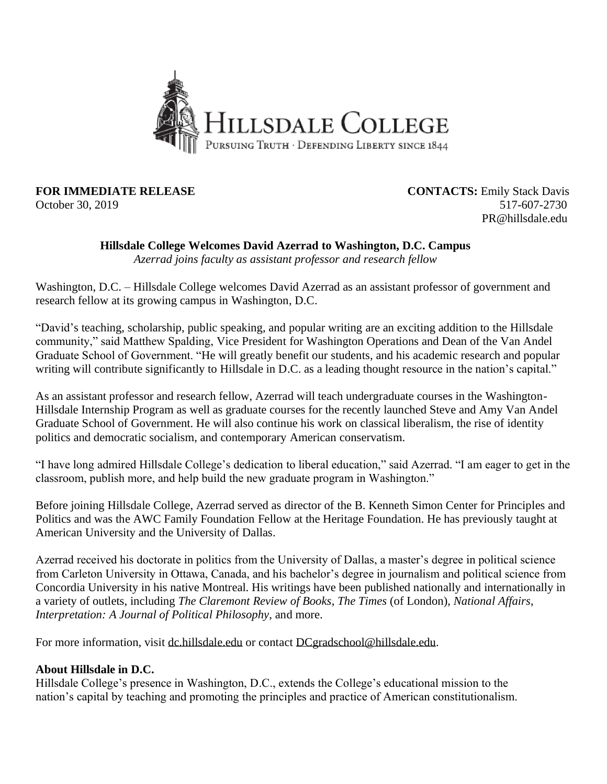

**FOR IMMEDIATE RELEASE CONTACTS:** Emily Stack Davis October 30, 2019 517-607-2730 PR@hillsdale.edu

## **Hillsdale College Welcomes David Azerrad to Washington, D.C. Campus**

*Azerrad joins faculty as assistant professor and research fellow*

Washington, D.C. – Hillsdale College welcomes David Azerrad as an assistant professor of government and research fellow at its growing campus in Washington, D.C.

"David's teaching, scholarship, public speaking, and popular writing are an exciting addition to the Hillsdale community," said Matthew Spalding, Vice President for Washington Operations and Dean of the Van Andel Graduate School of Government. "He will greatly benefit our students, and his academic research and popular writing will contribute significantly to Hillsdale in D.C. as a leading thought resource in the nation's capital."

As an assistant professor and research fellow, Azerrad will teach undergraduate courses in the Washington-Hillsdale Internship Program as well as graduate courses for the recently launched Steve and Amy Van Andel Graduate School of Government. He will also continue his work on classical liberalism, the rise of identity politics and democratic socialism, and contemporary American conservatism.

"I have long admired Hillsdale College's dedication to liberal education," said Azerrad. "I am eager to get in the classroom, publish more, and help build the new graduate program in Washington."

Before joining Hillsdale College, Azerrad served as director of the B. Kenneth Simon Center for Principles and Politics and was the AWC Family Foundation Fellow at the Heritage Foundation. He has previously taught at American University and the University of Dallas.

Azerrad received his doctorate in politics from the University of Dallas, a master's degree in political science from Carleton University in Ottawa, Canada, and his bachelor's degree in journalism and political science from Concordia University in his native Montreal. His writings have been published nationally and internationally in a variety of outlets, including *The Claremont Review of Books*, *The Times* (of London), *National Affairs*, *Interpretation: A Journal of Political Philosophy*, and more.

For more information, visit [dc.hillsdale.edu](https://dc.hillsdale.edu/) or contact [DCgradschool@hillsdale.edu.](mailto:DCgradschool@hillsdale.edu)

## **About Hillsdale in D.C.**

Hillsdale College's presence in Washington, D.C., extends the College's educational mission to the nation's capital by teaching and promoting the principles and practice of American constitutionalism.